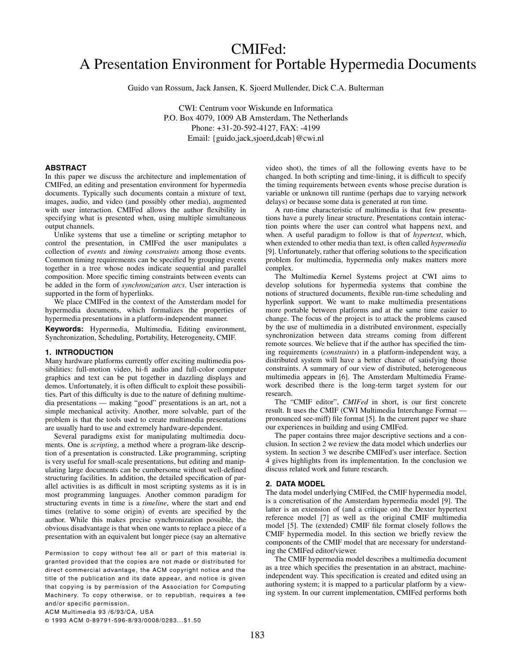# CMIFed: A Presentation Environment for Portable Hypermedia Documents

Guido van Rossum, Jack Jansen, K. Sjoerd Mullender, Dick C.A. Bulterman

CWI: Centrum voor Wiskunde en Informatica P.O. Box 4079, 1009 AB Amsterdam, The Netherlands Phone: +31-20-592-4127, FAX: -4199 Email: {guido,jack,sjoerd,dcab}@cwi.nl

# **ABSTRACT**

In this paper we discuss the architecture and implementation of CMIFed, an editing and presentation environment for hypermedia documents. Typically such documents contain a mixture of text, images, audio, and video (and possibly other media), augmented with user interaction. CMIFed allows the author flexibility in specifying what is presented when, using multiple simultaneous output channels.

Unlike systems that use a timeline or scripting metaphor to control the presentation, in CMIFed the user manipulates a collection of *events* and *timing constraints* among those events. Common timing requirements can be specified by grouping events together in a tree whose nodes indicate sequential and parallel composition. More specific timing constraints between events can be added in the form of *synchronization arcs*. User interaction is supported in the form of hyperlinks.

We place CMIFed in the context of the Amsterdam model for hypermedia documents, which formalizes the properties of hypermedia presentations in a platform-independent manner.

**Keywords:** Hypermedia, Multimedia, Editing environment, Synchronization, Scheduling, Portability, Heterogeneity, CMIF.

# **1. INTRODUCTION**

Many hardware platforms currently offer exciting multimedia possibilities: full-motion video, hi-fi audio and full-color computer graphics and text can be put together in dazzling displays and demos. Unfortunately, it is often difficult to exploit these possibilities. Part of this difficulty is due to the nature of defining multimedia presentations — making "good" presentations is an art, not a simple mechanical activity. Another, more solvable, part of the problem is that the tools used to create multimedia presentations are usually hard to use and extremely hardware-dependent.

Several paradigms exist for manipulating multimedia documents. One is *scripting*, a method where a program-like description of a presentation is constructed. Like programming, scripting is very useful for small-scale presentations, but editing and manipulating large documents can be cumbersome without well-defined structuring facilities. In addition, the detailed specification of parallel activities is as difficult in most scripting systems as it is in most programming languages. Another common paradigm for structuring events in time is a *timeline*, where the start and end times (relative to some origin) of events are specified by the author. While this makes precise synchronization possible, the obvious disadvantage is that when one wants to replace a piece of a presentation with an equivalent but longer piece (say an alternative

Permission to copy without fee all or part of this material is granted provided that the copies are not made or distributed for direct commercial advantage, the ACM copyright notice and the title of the publication and its date appear, and notice is given that copying is by permission of the Association for Computing Machinery. To copy otherwise, or to republish, requires a fee and/or specific permission.

video shot), the times of all the following events have to be changed. In both scripting and time-lining, it is difficult to specify the timing requirements between events whose precise duration is variable or unknown till runtime (perhaps due to varying network delays) or because some data is generated at run time.

A run-time characteristic of multimedia is that few presentations have a purely linear structure. Presentations contain interaction points where the user can control what happens next, and when. A useful paradigm to follow is that of *hypertext*, which, when extended to other media than text, is often called *hypermedia* [9]. Unfortunately, rather that offering solutions to the specification problem for multimedia, hypermedia only makes matters more complex.

The Multimedia Kernel Systems project at CWI aims to develop solutions for hypermedia systems that combine the notions of structured documents, flexible run-time scheduling and hyperlink support. We want to make multimedia presentations more portable between platforms and at the same time easier to change. The focus of the project is to attack the problems caused by the use of multimedia in a distributed environment, especially synchronization between data streams coming from different remote sources. We believe that if the author has specified the timing requirements (*constraints*) in a platform-independent way, a distributed system will have a better chance of satisfying those constraints. A summary of our view of distributed, heterogeneous multimedia appears in [6]. The Amsterdam Multimedia Framework described there is the long-term target system for our research.

The "CMIF editor", *CMIFed* in short, is our first concrete result. It uses the CMIF (CWI Multimedia Interchange Format pronounced see-miff) file format [5]. In the current paper we share our experiences in building and using CMIFed.

The paper contains three major descriptive sections and a conclusion. In section 2 we review the data model which underlies our system. In section 3 we describe CMIFed's user interface. Section 4 gives highlights from its implementation. In the conclusion we discuss related work and future research.

# **2. DATA MODEL**

The data model underlying CMIFed, the CMIF hypermedia model, is a concretisation of the Amsterdam hypermedia model [9]. The latter is an extension of (and a critique on) the Dexter hypertext reference model [7] as well as the original CMIF multimedia model [5]. The (extended) CMIF file format closely follows the CMIF hypermedia model. In this section we briefly review the components of the CMIF model that are necessary for understanding the CMIFed editor/viewer.

The CMIF hypermedia model describes a multimedia document as a tree which specifies the presentation in an abstract, machineindependent way. This specification is created and edited using an authoring system; it is mapped to a particular platform by a viewing system. In our current implementation, CMIFed performs both

ACM Multimedia 93 /6/93/CA, USA

© 1993 ACM 0-89791-596-8/93/0008/0283...\$1.50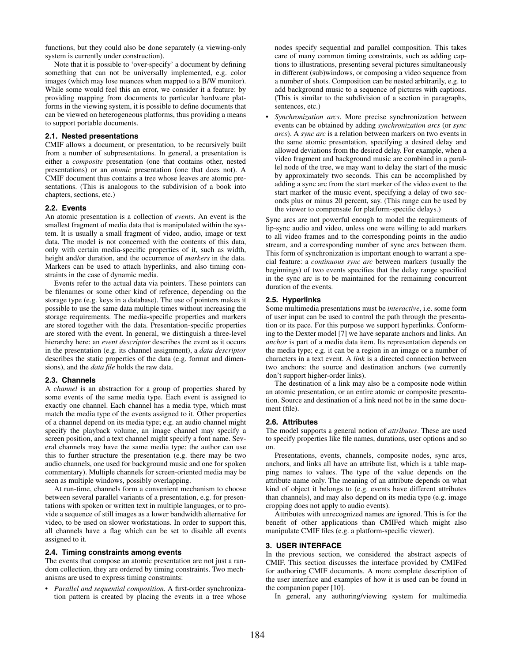functions, but they could also be done separately (a viewing-only system is currently under construction).

Note that it is possible to 'over-specify' a document by defining something that can not be universally implemented, e.g. color images (which may lose nuances when mapped to a B/W monitor). While some would feel this an error, we consider it a feature: by providing mapping from documents to particular hardware platforms in the viewing system, it is possible to define documents that can be viewed on heterogeneous platforms, thus providing a means to support portable documents.

## **2.1. Nested presentations**

CMIF allows a document, or presentation, to be recursively built from a number of subpresentations. In general, a presentation is either a *composite* presentation (one that contains other, nested presentations) or an *atomic* presentation (one that does not). A CMIF document thus contains a tree whose leaves are atomic presentations. (This is analogous to the subdivision of a book into chapters, sections, etc.)

#### **2.2. Events**

An atomic presentation is a collection of *events*. An event is the smallest fragment of media data that is manipulated within the system. It is usually a small fragment of video, audio, image or text data. The model is not concerned with the contents of this data, only with certain media-specific properties of it, such as width, height and/or duration, and the occurrence of *markers* in the data. Markers can be used to attach hyperlinks, and also timing constraints in the case of dynamic media.

Events refer to the actual data via pointers. These pointers can be filenames or some other kind of reference, depending on the storage type (e.g. keys in a database). The use of pointers makes it possible to use the same data multiple times without increasing the storage requirements. The media-specific properties and markers are stored together with the data. Presentation-specific properties are stored with the event. In general, we distinguish a three-level hierarchy here: an *event descriptor* describes the event as it occurs in the presentation (e.g. its channel assignment), a *data descriptor* describes the static properties of the data (e.g. format and dimensions), and the *data file* holds the raw data.

# **2.3. Channels**

A *channel* is an abstraction for a group of properties shared by some events of the same media type. Each event is assigned to exactly one channel. Each channel has a media type, which must match the media type of the events assigned to it. Other properties of a channel depend on its media type; e.g. an audio channel might specify the playback volume, an image channel may specify a screen position, and a text channel might specify a font name. Several channels may have the same media type; the author can use this to further structure the presentation (e.g. there may be two audio channels, one used for background music and one for spoken commentary). Multiple channels for screen-oriented media may be seen as multiple windows, possibly overlapping.

At run-time, channels form a convenient mechanism to choose between several parallel variants of a presentation, e.g. for presentations with spoken or written text in multiple languages, or to provide a sequence of still images as a lower bandwidth alternative for video, to be used on slower workstations. In order to support this, all channels have a flag which can be set to disable all events assigned to it.

## **2.4. Timing constraints among events**

The events that compose an atomic presentation are not just a random collection, they are ordered by timing constraints. Two mechanisms are used to express timing constraints:

• *Parallel and sequential composition*. A first-order synchronization pattern is created by placing the events in a tree whose

nodes specify sequential and parallel composition. This takes care of many common timing constraints, such as adding captions to illustrations, presenting several pictures simultaneously in different (sub)windows, or composing a video sequence from a number of shots. Composition can be nested arbitrarily, e.g. to add background music to a sequence of pictures with captions. (This is similar to the subdivision of a section in paragraphs, sentences, etc.)

• *Synchronization arcs*. More precise synchronization between events can be obtained by adding *synchronization arcs* (or *sync arcs*). A *sync arc* is a relation between markers on two events in the same atomic presentation, specifying a desired delay and allowed deviations from the desired delay. For example, when a video fragment and background music are combined in a parallel node of the tree, we may want to delay the start of the music by approximately two seconds. This can be accomplished by adding a sync arc from the start marker of the video event to the start marker of the music event, specifying a delay of two seconds plus or minus 20 percent, say. (This range can be used by the viewer to compensate for platform-specific delays.)

Sync arcs are not powerful enough to model the requirements of lip-sync audio and video, unless one were willing to add markers to all video frames and to the corresponding points in the audio stream, and a corresponding number of sync arcs between them. This form of synchronization is important enough to warrant a special feature: a *continuous sync arc* between markers (usually the beginnings) of two events specifies that the delay range specified in the sync arc is to be maintained for the remaining concurrent duration of the events.

## **2.5. Hyperlinks**

Some multimedia presentations must be *interactive*, i.e. some form of user input can be used to control the path through the presentation or its pace. For this purpose we support hyperlinks. Conforming to the Dexter model [7] we have separate anchors and links. An *anchor* is part of a media data item. Its representation depends on the media type; e.g. it can be a region in an image or a number of characters in a text event. A *link* is a directed connection between two anchors: the source and destination anchors (we currently don't support higher-order links).

The destination of a link may also be a composite node within an atomic presentation, or an entire atomic or composite presentation. Source and destination of a link need not be in the same document (file).

### **2.6. Attributes**

The model supports a general notion of *attributes*. These are used to specify properties like file names, durations, user options and so on.

Presentations, events, channels, composite nodes, sync arcs, anchors, and links all have an attribute list, which is a table mapping names to values. The type of the value depends on the attribute name only. The meaning of an attribute depends on what kind of object it belongs to (e.g. events have different attributes than channels), and may also depend on its media type (e.g. image cropping does not apply to audio events).

Attributes with unrecognized names are ignored. This is for the benefit of other applications than CMIFed which might also manipulate CMIF files (e.g. a platform-specific viewer).

# **3. USER INTERFACE**

In the previous section, we considered the abstract aspects of CMIF. This section discusses the interface provided by CMIFed for authoring CMIF documents. A more complete description of the user interface and examples of how it is used can be found in the companion paper [10].

In general, any authoring/viewing system for multimedia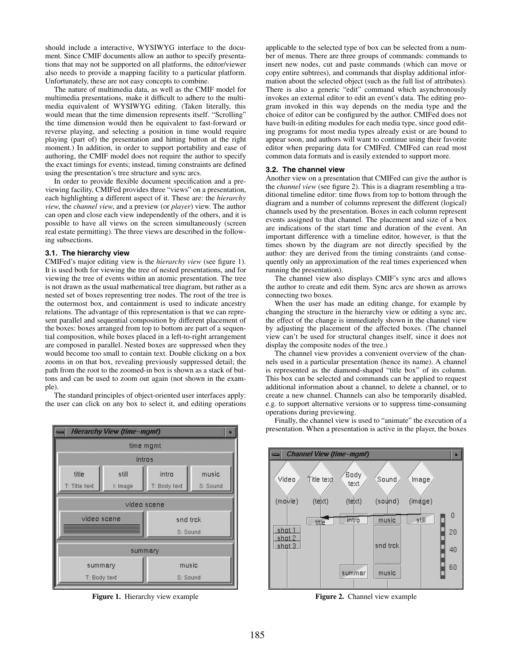should include a interactive, WYSIWYG interface to the document. Since CMIF documents allow an author to specify presentations that may not be supported on all platforms, the editor/viewer also needs to provide a mapping facility to a particular platform. Unfortunately, these are not easy concepts to combine.

The nature of multimedia data, as well as the CMIF model for multimedia presentations, make it difficult to adhere to the multimedia equivalent of WYSIWYG editing. (Taken literally, this would mean that the time dimension represents itself. "Scrolling" the time dimension would then be equivalent to fast-forward or reverse playing, and selecting a position in time would require playing (part of) the presentation and hitting button at the right moment.) In addition, in order to support portability and ease of authoring, the CMIF model does not require the author to specify the exact timings for events; instead, timing constraints are defined using the presentation's tree structure and sync arcs.

In order to provide flexible document specification and a previewing facility, CMIFed provides three "views" on a presentation, each highlighting a different aspect of it. These are: the *hierarchy view*, the *channel view*, and a preview (or *player*) view. The author can open and close each view independently of the others, and it is possible to have all views on the screen simultaneously (screen real estate permitting). The three views are described in the following subsections.

# **3.1. The hierarchy view**

CMIFed's major editing view is the *hierarchy view* (see figure 1). It is used both for viewing the tree of nested presentations, and for viewing the tree of events within an atomic presentation. The tree is not drawn as the usual mathematical tree diagram, but rather as a nested set of boxes representing tree nodes. The root of the tree is the outermost box, and containment is used to indicate ancestry relations. The advantage of this representation is that we can represent parallel and sequential composition by different placement of the boxes: boxes arranged from top to bottom are part of a sequential composition, while boxes placed in a left-to-right arrangement are composed in parallel. Nested boxes are suppressed when they would become too small to contain text. Double clicking on a box zooms in on that box, revealing previously suppressed detail; the path from the root to the zoomed-in box is shown as a stack of buttons and can be used to zoom out again (not shown in the example).

The standard principles of object-oriented user interfaces apply: the user can click on any box to select it, and editing operations



**Figure 1.** Hierarchy view example

applicable to the selected type of box can be selected from a number of menus. There are three groups of commands: commands to insert new nodes, cut and paste commands (which can move or copy entire subtrees), and commands that display additional information about the selected object (such as the full list of attributes). There is also a generic "edit" command which asynchronously invokes an external editor to edit an event's data. The editing program invoked in this way depends on the media type and the choice of editor can be configured by the author. CMIFed does not have built-in editing modules for each media type, since good editing programs for most media types already exist or are bound to appear soon, and authors will want to continue using their favorite editor when preparing data for CMIFed. CMIFed can read most common data formats and is easily extended to support more.

## **3.2. The channel view**

Another view on a presentation that CMIFed can give the author is the *channel view* (see figure 2). This is a diagram resembling a traditional timeline editor: time flows from top to bottom through the diagram and a number of columns represent the different (logical) channels used by the presentation. Boxes in each column represent events assigned to that channel. The placement and size of a box are indications of the start time and duration of the event. An important difference with a timeline editor, however, is that the times shown by the diagram are not directly specified by the author: they are derived from the timing constraints (and consequently only an approximation of the real times experienced when running the presentation).

The channel view also displays CMIF's sync arcs and allows the author to create and edit them. Sync arcs are shown as arrows connecting two boxes.

When the user has made an editing change, for example by changing the structure in the hierarchy view or editing a sync arc, the effect of the change is immediately shown in the channel view by adjusting the placement of the affected boxes. (The channel view can't be used for structural changes itself, since it does not display the composite nodes of the tree.)

The channel view provides a convenient overview of the channels used in a particular presentation (hence its name). A channel is represented as the diamond-shaped "title box" of its column. This box can be selected and commands can be applied to request additional information about a channel, to delete a channel, or to create a new channel. Channels can also be temporarily disabled, e.g. to support alternative versions or to suppress time-consuming operations during previewing.

Finally, the channel view is used to "animate" the execution of a presentation. When a presentation is active in the player, the boxes



**Figure 2.** Channel view example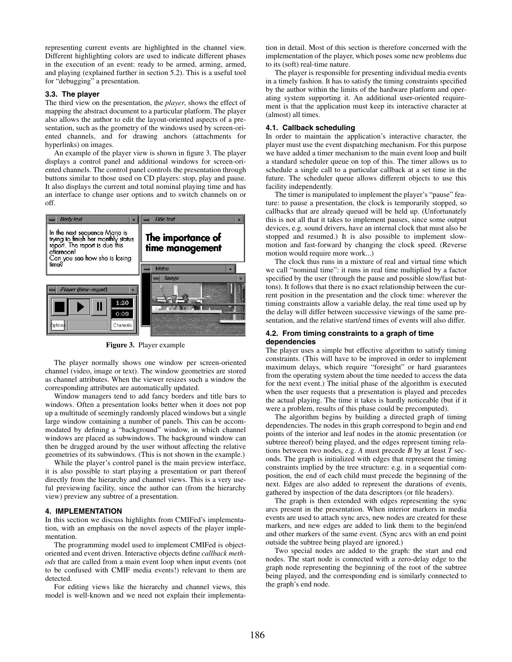representing current events are highlighted in the channel view. Different highlighting colors are used to indicate different phases in the execution of an event: ready to be armed, arming, armed, and playing (explained further in section 5.2). This is a useful tool for "debugging" a presentation.

# **3.3. The player**

The third view on the presentation, the *player*, shows the effect of mapping the abstract document to a particular platform. The player also allows the author to edit the layout-oriented aspects of a presentation, such as the geometry of the windows used by screen-oriented channels, and for drawing anchors (attachments for hyperlinks) on images.

An example of the player view is shown in figure 3. The player displays a control panel and additional windows for screen-oriented channels. The control panel controls the presentation through buttons similar to those used on CD players: stop, play and pause. It also displays the current and total nominal playing time and has an interface to change user options and to switch channels on or off.



**Figure 3.** Player example

The player normally shows one window per screen-oriented channel (video, image or text). The window geometries are stored as channel attributes. When the viewer resizes such a window the corresponding attributes are automatically updated.

Window managers tend to add fancy borders and title bars to windows. Often a presentation looks better when it does not pop up a multitude of seemingly randomly placed windows but a single large window containing a number of panels. This can be accommodated by defining a "background" window, in which channel windows are placed as subwindows. The background window can then be dragged around by the user without affecting the relative geometries of its subwindows. (This is not shown in the example.)

While the player's control panel is the main preview interface, it is also possible to start playing a presentation or part thereof directly from the hierarchy and channel views. This is a very useful previewing facility, since the author can (from the hierarchy view) preview any subtree of a presentation.

#### **4. IMPLEMENTATION**

In this section we discuss highlights from CMIFed's implementation, with an emphasis on the novel aspects of the player implementation.

The programming model used to implement CMIFed is objectoriented and event driven. Interactive objects define *callback methods* that are called from a main event loop when input events (not to be confused with CMIF media events!) relevant to them are detected.

For editing views like the hierarchy and channel views, this model is well-known and we need not explain their implementation in detail. Most of this section is therefore concerned with the implementation of the player, which poses some new problems due to its (soft) real-time nature.

The player is responsible for presenting individual media events in a timely fashion. It has to satisfy the timing constraints specified by the author within the limits of the hardware platform and operating system supporting it. An additional user-oriented requirement is that the application must keep its interactive character at (almost) all times.

# **4.1. Callback scheduling**

In order to maintain the application's interactive character, the player must use the event dispatching mechanism. For this purpose we have added a timer mechanism to the main event loop and built a standard scheduler queue on top of this. The timer allows us to schedule a single call to a particular callback at a set time in the future. The scheduler queue allows different objects to use this facility independently.

The timer is manipulated to implement the player's "pause" feature: to pause a presentation, the clock is temporarily stopped, so callbacks that are already queued will be held up. (Unfortunately this is not all that it takes to implement pauses, since some output devices, e.g. sound drivers, have an internal clock that must also be stopped and resumed.) It is also possible to implement slowmotion and fast-forward by changing the clock speed. (Reverse motion would require more work...)

The clock thus runs in a mixture of real and virtual time which we call "nominal time": it runs in real time multiplied by a factor specified by the user (through the pause and possible slow/fast buttons). It follows that there is no exact relationship between the current position in the presentation and the clock time: wherever the timing constraints allow a variable delay, the real time used up by the delay will differ between successive viewings of the same presentation, and the relative start/end times of events will also differ.

## **4.2. From timing constraints to a graph of time dependencies**

The player uses a simple but effective algorithm to satisfy timing constraints. (This will have to be improved in order to implement maximum delays, which require "foresight" or hard guarantees from the operating system about the time needed to access the data for the next event.) The initial phase of the algorithm is executed when the user requests that a presentation is played and precedes the actual playing. The time it takes is hardly noticeable (but if it were a problem, results of this phase could be precomputed).

The algorithm begins by building a directed graph of timing dependencies. The nodes in this graph correspond to begin and end points of the interior and leaf nodes in the atomic presentation (or subtree thereof) being played, and the edges represent timing relations between two nodes, e.g. *A* must precede *B* by at least *T* seconds. The graph is initialized with edges that represent the timing constraints implied by the tree structure: e.g. in a sequential composition, the end of each child must precede the beginning of the next. Edges are also added to represent the durations of events, gathered by inspection of the data descriptors (or file headers).

The graph is then extended with edges representing the sync arcs present in the presentation. When interior markers in media events are used to attach sync arcs, new nodes are created for these markers, and new edges are added to link them to the begin/end and other markers of the same event. (Sync arcs with an end point outside the subtree being played are ignored.)

Two special nodes are added to the graph: the start and end nodes. The start node is connected with a zero-delay edge to the graph node representing the beginning of the root of the subtree being played, and the corresponding end is similarly connected to the graph's end node.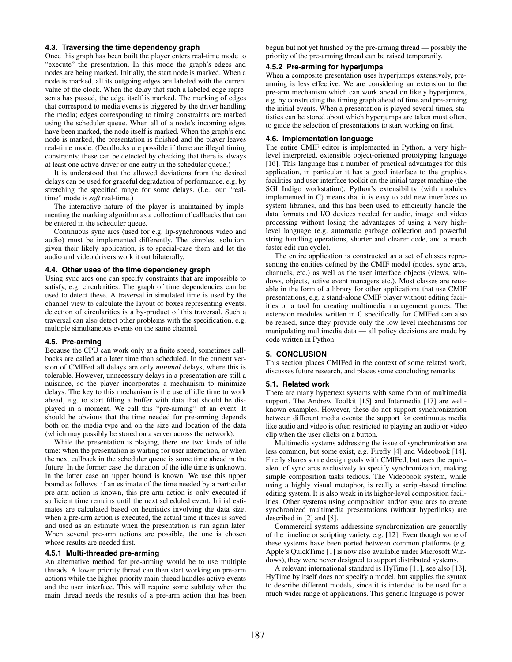### **4.3. Traversing the time dependency graph**

Once this graph has been built the player enters real-time mode to "execute" the presentation. In this mode the graph's edges and nodes are being marked. Initially, the start node is marked. When a node is marked, all its outgoing edges are labeled with the current value of the clock. When the delay that such a labeled edge represents has passed, the edge itself is marked. The marking of edges that correspond to media events is triggered by the driver handling the media; edges corresponding to timing constraints are marked using the scheduler queue. When all of a node's incoming edges have been marked, the node itself is marked. When the graph's end node is marked, the presentation is finished and the player leaves real-time mode. (Deadlocks are possible if there are illegal timing constraints; these can be detected by checking that there is always at least one active driver or one entry in the scheduler queue.)

It is understood that the allowed deviations from the desired delays can be used for graceful degradation of performance, e.g. by stretching the specified range for some delays. (I.e., our "realtime" mode is *soft* real-time.)

The interactive nature of the player is maintained by implementing the marking algorithm as a collection of callbacks that can be entered in the scheduler queue.

Continuous sync arcs (used for e.g. lip-synchronous video and audio) must be implemented differently. The simplest solution, given their likely application, is to special-case them and let the audio and video drivers work it out bilaterally.

## **4.4. Other uses of the time dependency graph**

Using sync arcs one can specify constraints that are impossible to satisfy, e.g. circularities. The graph of time dependencies can be used to detect these. A traversal in simulated time is used by the channel view to calculate the layout of boxes representing events; detection of circularities is a by-product of this traversal. Such a traversal can also detect other problems with the specification, e.g. multiple simultaneous events on the same channel.

#### **4.5. Pre-arming**

Because the CPU can work only at a finite speed, sometimes callbacks are called at a later time than scheduled. In the current version of CMIFed all delays are only *minimal* delays, where this is tolerable. However, unnecessary delays in a presentation are still a nuisance, so the player incorporates a mechanism to minimize delays. The key to this mechanism is the use of idle time to work ahead, e.g. to start filling a buffer with data that should be displayed in a moment. We call this "pre-arming" of an event. It should be obvious that the time needed for pre-arming depends both on the media type and on the size and location of the data (which may possibly be stored on a server across the network).

While the presentation is playing, there are two kinds of idle time: when the presentation is waiting for user interaction, or when the next callback in the scheduler queue is some time ahead in the future. In the former case the duration of the idle time is unknown; in the latter case an upper bound is known. We use this upper bound as follows: if an estimate of the time needed by a particular pre-arm action is known, this pre-arm action is only executed if sufficient time remains until the next scheduled event. Initial estimates are calculated based on heuristics involving the data size; when a pre-arm action is executed, the actual time it takes is saved and used as an estimate when the presentation is run again later. When several pre-arm actions are possible, the one is chosen whose results are needed first.

#### **4.5.1 Multi-threaded pre-arming**

An alternative method for pre-arming would be to use multiple threads. A lower priority thread can then start working on pre-arm actions while the higher-priority main thread handles active events and the user interface. This will require some subtlety when the main thread needs the results of a pre-arm action that has been begun but not yet finished by the pre-arming thread — possibly the priority of the pre-arming thread can be raised temporarily.

#### **4.5.2 Pre-arming for hyperjumps**

When a composite presentation uses hyperjumps extensively, prearming is less effective. We are considering an extension to the pre-arm mechanism which can work ahead on likely hyperjumps, e.g. by constructing the timing graph ahead of time and pre-arming the initial events. When a presentation is played several times, statistics can be stored about which hyperjumps are taken most often, to guide the selection of presentations to start working on first.

# **4.6. Implementation language**

The entire CMIF editor is implemented in Python, a very highlevel interpreted, extensible object-oriented prototyping language [16]. This language has a number of practical advantages for this application, in particular it has a good interface to the graphics facilities and user interface toolkit on the initial target machine (the SGI Indigo workstation). Python's extensibility (with modules implemented in C) means that it is easy to add new interfaces to system libraries, and this has been used to efficiently handle the data formats and I/O devices needed for audio, image and video processing without losing the advantages of using a very highlevel language (e.g. automatic garbage collection and powerful string handling operations, shorter and clearer code, and a much faster edit-run cycle).

The entire application is constructed as a set of classes representing the entities defined by the CMIF model (nodes, sync arcs, channels, etc.) as well as the user interface objects (views, windows, objects, active event managers etc.). Most classes are reusable in the form of a library for other applications that use CMIF presentations, e.g. a stand-alone CMIF player without editing facilities or a tool for creating multimedia management games. The extension modules written in C specifically for CMIFed can also be reused, since they provide only the low-level mechanisms for manipulating multimedia data — all policy decisions are made by code written in Python.

## **5. CONCLUSION**

This section places CMIFed in the context of some related work, discusses future research, and places some concluding remarks.

#### **5.1. Related work**

There are many hypertext systems with some form of multimedia support. The Andrew Toolkit [15] and Intermedia [17] are wellknown examples. However, these do not support synchronization between different media events: the support for continuous media like audio and video is often restricted to playing an audio or video clip when the user clicks on a button.

Multimedia systems addressing the issue of synchronization are less common, but some exist, e.g. Firefly [4] and Videobook [14]. Firefly shares some design goals with CMIFed, but uses the equivalent of sync arcs exclusively to specify synchronization, making simple composition tasks tedious. The Videobook system, while using a highly visual metaphor, is really a script-based timeline editing system. It is also weak in its higher-level composition facilities. Other systems using composition and/or sync arcs to create synchronized multimedia presentations (without hyperlinks) are described in [2] and [8].

Commercial systems addressing synchronization are generally of the timeline or scripting variety, e.g. [12]. Even though some of these systems have been ported between common platforms (e.g. Apple's QuickTime [1] is now also available under Microsoft Windows), they were never designed to support distributed systems.

A relevant international standard is HyTime [11], see also [13]. HyTime by itself does not specify a model, but supplies the syntax to describe different models, since it is intended to be used for a much wider range of applications. This generic language is power